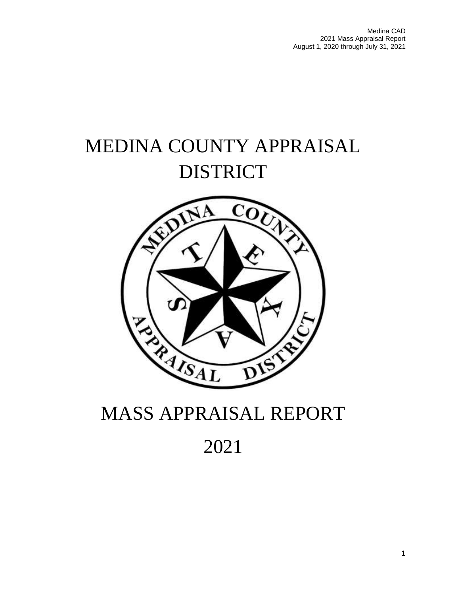# MEDINA COUNTY APPRAISAL DISTRICT



# MASS APPRAISAL REPORT

# 2021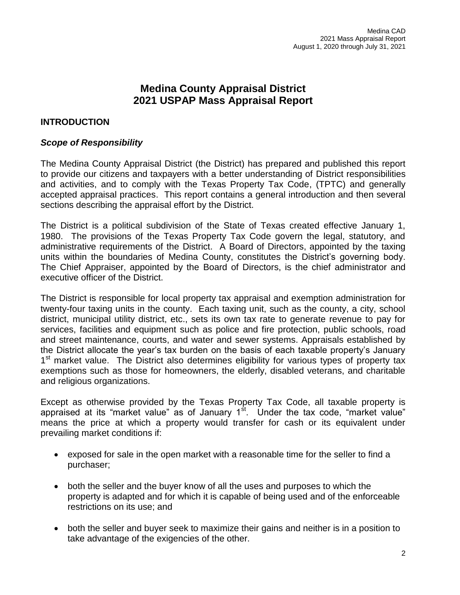# **Medina County Appraisal District 2021 USPAP Mass Appraisal Report**

## **INTRODUCTION**

#### *Scope of Responsibility*

The Medina County Appraisal District (the District) has prepared and published this report to provide our citizens and taxpayers with a better understanding of District responsibilities and activities, and to comply with the Texas Property Tax Code, (TPTC) and generally accepted appraisal practices. This report contains a general introduction and then several sections describing the appraisal effort by the District.

The District is a political subdivision of the State of Texas created effective January 1, 1980. The provisions of the Texas Property Tax Code govern the legal, statutory, and administrative requirements of the District. A Board of Directors, appointed by the taxing units within the boundaries of Medina County, constitutes the District's governing body. The Chief Appraiser, appointed by the Board of Directors, is the chief administrator and executive officer of the District.

The District is responsible for local property tax appraisal and exemption administration for twenty-four taxing units in the county. Each taxing unit, such as the county, a city, school district, municipal utility district, etc., sets its own tax rate to generate revenue to pay for services, facilities and equipment such as police and fire protection, public schools, road and street maintenance, courts, and water and sewer systems. Appraisals established by the District allocate the year's tax burden on the basis of each taxable property's January 1<sup>st</sup> market value. The District also determines eligibility for various types of property tax exemptions such as those for homeowners, the elderly, disabled veterans, and charitable and religious organizations.

Except as otherwise provided by the Texas Property Tax Code, all taxable property is appraised at its "market value" as of January  $1<sup>st</sup>$ . Under the tax code, "market value" means the price at which a property would transfer for cash or its equivalent under prevailing market conditions if:

- exposed for sale in the open market with a reasonable time for the seller to find a purchaser;
- both the seller and the buyer know of all the uses and purposes to which the property is adapted and for which it is capable of being used and of the enforceable restrictions on its use; and
- both the seller and buyer seek to maximize their gains and neither is in a position to take advantage of the exigencies of the other.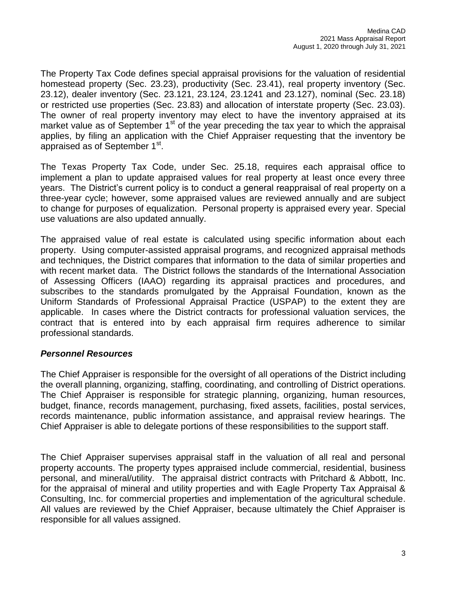The Property Tax Code defines special appraisal provisions for the valuation of residential homestead property (Sec. 23.23), productivity (Sec. 23.41), real property inventory (Sec. 23.12), dealer inventory (Sec. 23.121, 23.124, 23.1241 and 23.127), nominal (Sec. 23.18) or restricted use properties (Sec. 23.83) and allocation of interstate property (Sec. 23.03). The owner of real property inventory may elect to have the inventory appraised at its market value as of September  $1<sup>st</sup>$  of the year preceding the tax year to which the appraisal applies, by filing an application with the Chief Appraiser requesting that the inventory be appraised as of September 1<sup>st</sup>.

The Texas Property Tax Code, under Sec. 25.18, requires each appraisal office to implement a plan to update appraised values for real property at least once every three years. The District's current policy is to conduct a general reappraisal of real property on a three-year cycle; however, some appraised values are reviewed annually and are subject to change for purposes of equalization. Personal property is appraised every year. Special use valuations are also updated annually.

The appraised value of real estate is calculated using specific information about each property. Using computer-assisted appraisal programs, and recognized appraisal methods and techniques, the District compares that information to the data of similar properties and with recent market data. The District follows the standards of the International Association of Assessing Officers (IAAO) regarding its appraisal practices and procedures, and subscribes to the standards promulgated by the Appraisal Foundation, known as the Uniform Standards of Professional Appraisal Practice (USPAP) to the extent they are applicable. In cases where the District contracts for professional valuation services, the contract that is entered into by each appraisal firm requires adherence to similar professional standards.

#### *Personnel Resources*

The Chief Appraiser is responsible for the oversight of all operations of the District including the overall planning, organizing, staffing, coordinating, and controlling of District operations. The Chief Appraiser is responsible for strategic planning, organizing, human resources, budget, finance, records management, purchasing, fixed assets, facilities, postal services, records maintenance, public information assistance, and appraisal review hearings. The Chief Appraiser is able to delegate portions of these responsibilities to the support staff.

The Chief Appraiser supervises appraisal staff in the valuation of all real and personal property accounts. The property types appraised include commercial, residential, business personal, and mineral/utility. The appraisal district contracts with Pritchard & Abbott, Inc. for the appraisal of mineral and utility properties and with Eagle Property Tax Appraisal & Consulting, Inc. for commercial properties and implementation of the agricultural schedule. All values are reviewed by the Chief Appraiser, because ultimately the Chief Appraiser is responsible for all values assigned.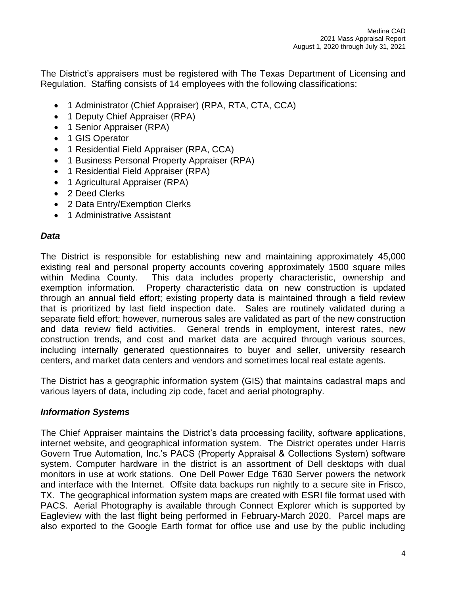The District's appraisers must be registered with The Texas Department of Licensing and Regulation. Staffing consists of 14 employees with the following classifications:

- 1 Administrator (Chief Appraiser) (RPA, RTA, CTA, CCA)
- 1 Deputy Chief Appraiser (RPA)
- 1 Senior Appraiser (RPA)
- 1 GIS Operator
- 1 Residential Field Appraiser (RPA, CCA)
- 1 Business Personal Property Appraiser (RPA)
- 1 Residential Field Appraiser (RPA)
- 1 Agricultural Appraiser (RPA)
- 2 Deed Clerks
- 2 Data Entry/Exemption Clerks
- 1 Administrative Assistant

# *Data*

The District is responsible for establishing new and maintaining approximately 45,000 existing real and personal property accounts covering approximately 1500 square miles within Medina County. This data includes property characteristic, ownership and exemption information. Property characteristic data on new construction is updated through an annual field effort; existing property data is maintained through a field review that is prioritized by last field inspection date. Sales are routinely validated during a separate field effort; however, numerous sales are validated as part of the new construction and data review field activities. General trends in employment, interest rates, new construction trends, and cost and market data are acquired through various sources, including internally generated questionnaires to buyer and seller, university research centers, and market data centers and vendors and sometimes local real estate agents.

The District has a geographic information system (GIS) that maintains cadastral maps and various layers of data, including zip code, facet and aerial photography.

# *Information Systems*

The Chief Appraiser maintains the District's data processing facility, software applications, internet website, and geographical information system. The District operates under Harris Govern True Automation, Inc.'s PACS (Property Appraisal & Collections System) software system. Computer hardware in the district is an assortment of Dell desktops with dual monitors in use at work stations. One Dell Power Edge T630 Server powers the network and interface with the Internet. Offsite data backups run nightly to a secure site in Frisco, TX. The geographical information system maps are created with ESRI file format used with PACS. Aerial Photography is available through Connect Explorer which is supported by Eagleview with the last flight being performed in February-March 2020. Parcel maps are also exported to the Google Earth format for office use and use by the public including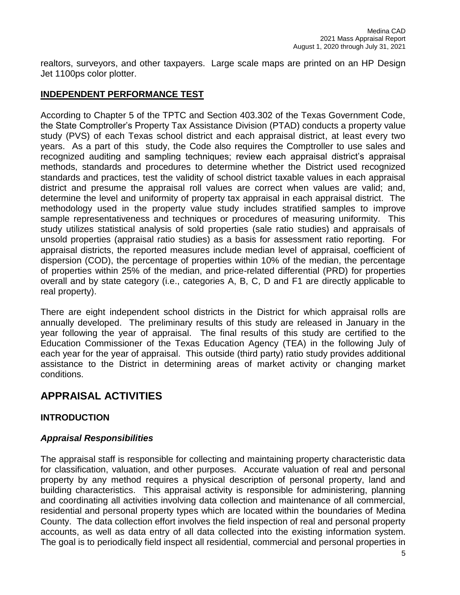realtors, surveyors, and other taxpayers. Large scale maps are printed on an HP Design Jet 1100ps color plotter.

# **INDEPENDENT PERFORMANCE TEST**

According to Chapter 5 of the TPTC and Section 403.302 of the Texas Government Code, the State Comptroller's Property Tax Assistance Division (PTAD) conducts a property value study (PVS) of each Texas school district and each appraisal district, at least every two years. As a part of this study, the Code also requires the Comptroller to use sales and recognized auditing and sampling techniques; review each appraisal district's appraisal methods, standards and procedures to determine whether the District used recognized standards and practices, test the validity of school district taxable values in each appraisal district and presume the appraisal roll values are correct when values are valid; and, determine the level and uniformity of property tax appraisal in each appraisal district. The methodology used in the property value study includes stratified samples to improve sample representativeness and techniques or procedures of measuring uniformity. This study utilizes statistical analysis of sold properties (sale ratio studies) and appraisals of unsold properties (appraisal ratio studies) as a basis for assessment ratio reporting. For appraisal districts, the reported measures include median level of appraisal, coefficient of dispersion (COD), the percentage of properties within 10% of the median, the percentage of properties within 25% of the median, and price-related differential (PRD) for properties overall and by state category (i.e., categories A, B, C, D and F1 are directly applicable to real property).

There are eight independent school districts in the District for which appraisal rolls are annually developed. The preliminary results of this study are released in January in the year following the year of appraisal. The final results of this study are certified to the Education Commissioner of the Texas Education Agency (TEA) in the following July of each year for the year of appraisal. This outside (third party) ratio study provides additional assistance to the District in determining areas of market activity or changing market conditions.

# **APPRAISAL ACTIVITIES**

# **INTRODUCTION**

#### *Appraisal Responsibilities*

The appraisal staff is responsible for collecting and maintaining property characteristic data for classification, valuation, and other purposes. Accurate valuation of real and personal property by any method requires a physical description of personal property, land and building characteristics. This appraisal activity is responsible for administering, planning and coordinating all activities involving data collection and maintenance of all commercial, residential and personal property types which are located within the boundaries of Medina County. The data collection effort involves the field inspection of real and personal property accounts, as well as data entry of all data collected into the existing information system. The goal is to periodically field inspect all residential, commercial and personal properties in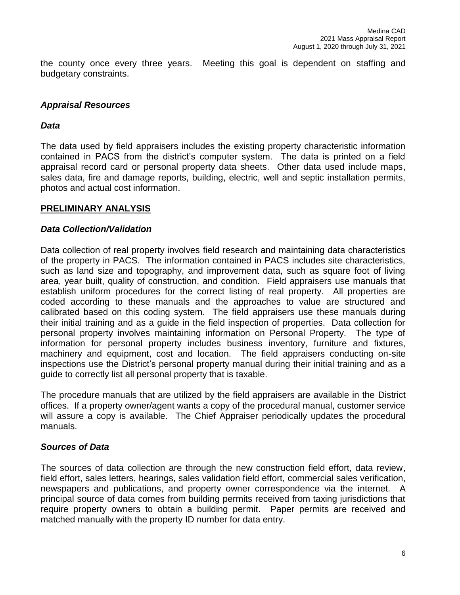the county once every three years. Meeting this goal is dependent on staffing and budgetary constraints.

#### *Appraisal Resources*

#### *Data*

The data used by field appraisers includes the existing property characteristic information contained in PACS from the district's computer system. The data is printed on a field appraisal record card or personal property data sheets. Other data used include maps, sales data, fire and damage reports, building, electric, well and septic installation permits, photos and actual cost information.

#### **PRELIMINARY ANALYSIS**

#### *Data Collection/Validation*

Data collection of real property involves field research and maintaining data characteristics of the property in PACS. The information contained in PACS includes site characteristics, such as land size and topography, and improvement data, such as square foot of living area, year built, quality of construction, and condition. Field appraisers use manuals that establish uniform procedures for the correct listing of real property. All properties are coded according to these manuals and the approaches to value are structured and calibrated based on this coding system. The field appraisers use these manuals during their initial training and as a guide in the field inspection of properties. Data collection for personal property involves maintaining information on Personal Property. The type of information for personal property includes business inventory, furniture and fixtures, machinery and equipment, cost and location. The field appraisers conducting on-site inspections use the District's personal property manual during their initial training and as a guide to correctly list all personal property that is taxable.

The procedure manuals that are utilized by the field appraisers are available in the District offices. If a property owner/agent wants a copy of the procedural manual, customer service will assure a copy is available. The Chief Appraiser periodically updates the procedural manuals.

#### *Sources of Data*

The sources of data collection are through the new construction field effort, data review, field effort, sales letters, hearings, sales validation field effort, commercial sales verification, newspapers and publications, and property owner correspondence via the internet. A principal source of data comes from building permits received from taxing jurisdictions that require property owners to obtain a building permit. Paper permits are received and matched manually with the property ID number for data entry.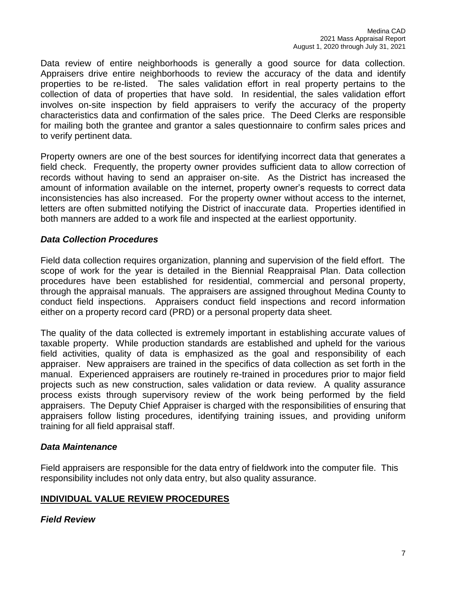Data review of entire neighborhoods is generally a good source for data collection. Appraisers drive entire neighborhoods to review the accuracy of the data and identify properties to be re-listed. The sales validation effort in real property pertains to the collection of data of properties that have sold. In residential, the sales validation effort involves on-site inspection by field appraisers to verify the accuracy of the property characteristics data and confirmation of the sales price. The Deed Clerks are responsible for mailing both the grantee and grantor a sales questionnaire to confirm sales prices and to verify pertinent data.

Property owners are one of the best sources for identifying incorrect data that generates a field check. Frequently, the property owner provides sufficient data to allow correction of records without having to send an appraiser on-site. As the District has increased the amount of information available on the internet, property owner's requests to correct data inconsistencies has also increased. For the property owner without access to the internet, letters are often submitted notifying the District of inaccurate data. Properties identified in both manners are added to a work file and inspected at the earliest opportunity.

## *Data Collection Procedures*

Field data collection requires organization, planning and supervision of the field effort. The scope of work for the year is detailed in the Biennial Reappraisal Plan. Data collection procedures have been established for residential, commercial and personal property, through the appraisal manuals. The appraisers are assigned throughout Medina County to conduct field inspections. Appraisers conduct field inspections and record information either on a property record card (PRD) or a personal property data sheet.

The quality of the data collected is extremely important in establishing accurate values of taxable property. While production standards are established and upheld for the various field activities, quality of data is emphasized as the goal and responsibility of each appraiser. New appraisers are trained in the specifics of data collection as set forth in the manual. Experienced appraisers are routinely re-trained in procedures prior to major field projects such as new construction, sales validation or data review. A quality assurance process exists through supervisory review of the work being performed by the field appraisers. The Deputy Chief Appraiser is charged with the responsibilities of ensuring that appraisers follow listing procedures, identifying training issues, and providing uniform training for all field appraisal staff.

#### *Data Maintenance*

Field appraisers are responsible for the data entry of fieldwork into the computer file. This responsibility includes not only data entry, but also quality assurance.

# **INDIVIDUAL VALUE REVIEW PROCEDURES**

*Field Review*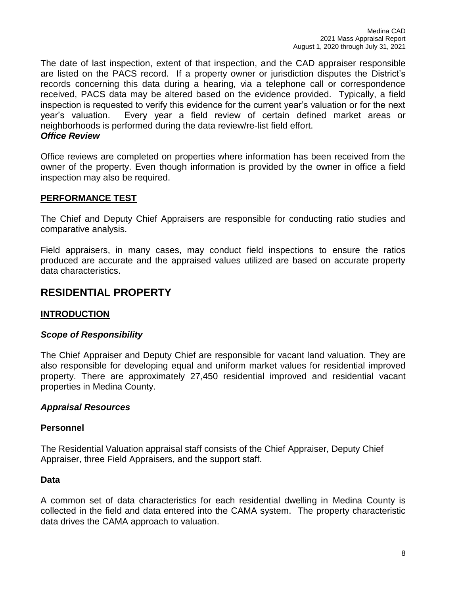The date of last inspection, extent of that inspection, and the CAD appraiser responsible are listed on the PACS record. If a property owner or jurisdiction disputes the District's records concerning this data during a hearing, via a telephone call or correspondence received, PACS data may be altered based on the evidence provided. Typically, a field inspection is requested to verify this evidence for the current year's valuation or for the next year's valuation. Every year a field review of certain defined market areas or neighborhoods is performed during the data review/re-list field effort. *Office Review*

Office reviews are completed on properties where information has been received from the owner of the property. Even though information is provided by the owner in office a field inspection may also be required.

## **PERFORMANCE TEST**

The Chief and Deputy Chief Appraisers are responsible for conducting ratio studies and comparative analysis.

Field appraisers, in many cases, may conduct field inspections to ensure the ratios produced are accurate and the appraised values utilized are based on accurate property data characteristics.

# **RESIDENTIAL PROPERTY**

#### **INTRODUCTION**

#### *Scope of Responsibility*

The Chief Appraiser and Deputy Chief are responsible for vacant land valuation. They are also responsible for developing equal and uniform market values for residential improved property. There are approximately 27,450 residential improved and residential vacant properties in Medina County.

#### *Appraisal Resources*

#### **Personnel**

The Residential Valuation appraisal staff consists of the Chief Appraiser, Deputy Chief Appraiser, three Field Appraisers, and the support staff.

#### **Data**

A common set of data characteristics for each residential dwelling in Medina County is collected in the field and data entered into the CAMA system. The property characteristic data drives the CAMA approach to valuation.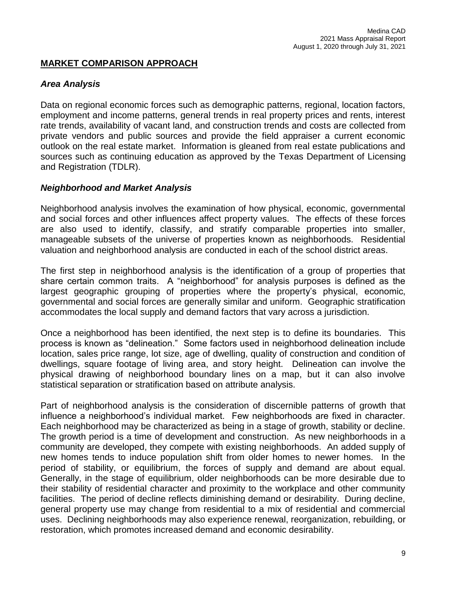## **MARKET COMPARISON APPROACH**

#### *Area Analysis*

Data on regional economic forces such as demographic patterns, regional, location factors, employment and income patterns, general trends in real property prices and rents, interest rate trends, availability of vacant land, and construction trends and costs are collected from private vendors and public sources and provide the field appraiser a current economic outlook on the real estate market. Information is gleaned from real estate publications and sources such as continuing education as approved by the Texas Department of Licensing and Registration (TDLR).

## *Neighborhood and Market Analysis*

Neighborhood analysis involves the examination of how physical, economic, governmental and social forces and other influences affect property values. The effects of these forces are also used to identify, classify, and stratify comparable properties into smaller, manageable subsets of the universe of properties known as neighborhoods. Residential valuation and neighborhood analysis are conducted in each of the school district areas.

The first step in neighborhood analysis is the identification of a group of properties that share certain common traits. A "neighborhood" for analysis purposes is defined as the largest geographic grouping of properties where the property's physical, economic, governmental and social forces are generally similar and uniform. Geographic stratification accommodates the local supply and demand factors that vary across a jurisdiction.

Once a neighborhood has been identified, the next step is to define its boundaries. This process is known as "delineation." Some factors used in neighborhood delineation include location, sales price range, lot size, age of dwelling, quality of construction and condition of dwellings, square footage of living area, and story height. Delineation can involve the physical drawing of neighborhood boundary lines on a map, but it can also involve statistical separation or stratification based on attribute analysis.

Part of neighborhood analysis is the consideration of discernible patterns of growth that influence a neighborhood's individual market. Few neighborhoods are fixed in character. Each neighborhood may be characterized as being in a stage of growth, stability or decline. The growth period is a time of development and construction. As new neighborhoods in a community are developed, they compete with existing neighborhoods. An added supply of new homes tends to induce population shift from older homes to newer homes. In the period of stability, or equilibrium, the forces of supply and demand are about equal. Generally, in the stage of equilibrium, older neighborhoods can be more desirable due to their stability of residential character and proximity to the workplace and other community facilities. The period of decline reflects diminishing demand or desirability. During decline, general property use may change from residential to a mix of residential and commercial uses. Declining neighborhoods may also experience renewal, reorganization, rebuilding, or restoration, which promotes increased demand and economic desirability.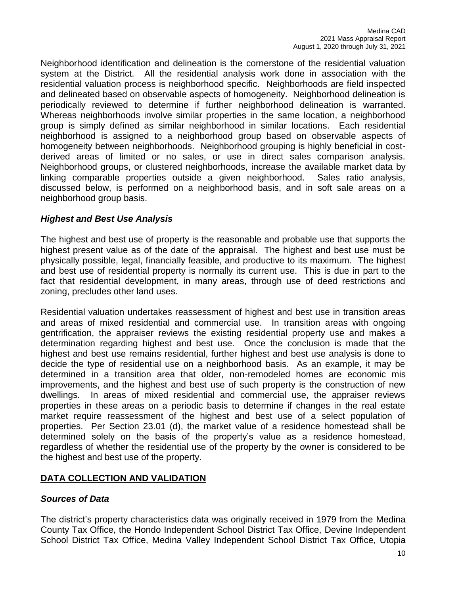Neighborhood identification and delineation is the cornerstone of the residential valuation system at the District. All the residential analysis work done in association with the residential valuation process is neighborhood specific. Neighborhoods are field inspected and delineated based on observable aspects of homogeneity. Neighborhood delineation is periodically reviewed to determine if further neighborhood delineation is warranted. Whereas neighborhoods involve similar properties in the same location, a neighborhood group is simply defined as similar neighborhood in similar locations. Each residential neighborhood is assigned to a neighborhood group based on observable aspects of homogeneity between neighborhoods. Neighborhood grouping is highly beneficial in costderived areas of limited or no sales, or use in direct sales comparison analysis. Neighborhood groups, or clustered neighborhoods, increase the available market data by linking comparable properties outside a given neighborhood. Sales ratio analysis, discussed below, is performed on a neighborhood basis, and in soft sale areas on a neighborhood group basis.

## *Highest and Best Use Analysis*

The highest and best use of property is the reasonable and probable use that supports the highest present value as of the date of the appraisal. The highest and best use must be physically possible, legal, financially feasible, and productive to its maximum. The highest and best use of residential property is normally its current use. This is due in part to the fact that residential development, in many areas, through use of deed restrictions and zoning, precludes other land uses.

Residential valuation undertakes reassessment of highest and best use in transition areas and areas of mixed residential and commercial use. In transition areas with ongoing gentrification, the appraiser reviews the existing residential property use and makes a determination regarding highest and best use. Once the conclusion is made that the highest and best use remains residential, further highest and best use analysis is done to decide the type of residential use on a neighborhood basis. As an example, it may be determined in a transition area that older, non-remodeled homes are economic mis improvements, and the highest and best use of such property is the construction of new dwellings. In areas of mixed residential and commercial use, the appraiser reviews properties in these areas on a periodic basis to determine if changes in the real estate market require reassessment of the highest and best use of a select population of properties. Per Section 23.01 (d), the market value of a residence homestead shall be determined solely on the basis of the property's value as a residence homestead, regardless of whether the residential use of the property by the owner is considered to be the highest and best use of the property.

#### **DATA COLLECTION AND VALIDATION**

#### *Sources of Data*

The district's property characteristics data was originally received in 1979 from the Medina County Tax Office, the Hondo Independent School District Tax Office, Devine Independent School District Tax Office, Medina Valley Independent School District Tax Office, Utopia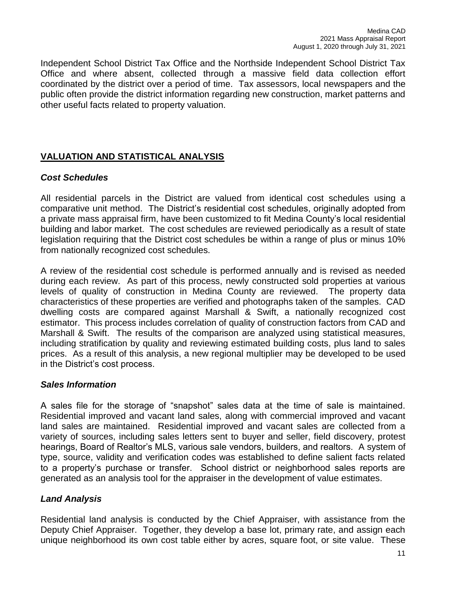Independent School District Tax Office and the Northside Independent School District Tax Office and where absent, collected through a massive field data collection effort coordinated by the district over a period of time. Tax assessors, local newspapers and the public often provide the district information regarding new construction, market patterns and other useful facts related to property valuation.

# **VALUATION AND STATISTICAL ANALYSIS**

## *Cost Schedules*

All residential parcels in the District are valued from identical cost schedules using a comparative unit method. The District's residential cost schedules, originally adopted from a private mass appraisal firm, have been customized to fit Medina County's local residential building and labor market. The cost schedules are reviewed periodically as a result of state legislation requiring that the District cost schedules be within a range of plus or minus 10% from nationally recognized cost schedules.

A review of the residential cost schedule is performed annually and is revised as needed during each review. As part of this process, newly constructed sold properties at various levels of quality of construction in Medina County are reviewed. The property data characteristics of these properties are verified and photographs taken of the samples. CAD dwelling costs are compared against Marshall & Swift, a nationally recognized cost estimator. This process includes correlation of quality of construction factors from CAD and Marshall & Swift. The results of the comparison are analyzed using statistical measures, including stratification by quality and reviewing estimated building costs, plus land to sales prices. As a result of this analysis, a new regional multiplier may be developed to be used in the District's cost process.

#### *Sales Information*

A sales file for the storage of "snapshot" sales data at the time of sale is maintained. Residential improved and vacant land sales, along with commercial improved and vacant land sales are maintained. Residential improved and vacant sales are collected from a variety of sources, including sales letters sent to buyer and seller, field discovery, protest hearings, Board of Realtor's MLS, various sale vendors, builders, and realtors. A system of type, source, validity and verification codes was established to define salient facts related to a property's purchase or transfer. School district or neighborhood sales reports are generated as an analysis tool for the appraiser in the development of value estimates.

# *Land Analysis*

Residential land analysis is conducted by the Chief Appraiser, with assistance from the Deputy Chief Appraiser. Together, they develop a base lot, primary rate, and assign each unique neighborhood its own cost table either by acres, square foot, or site value. These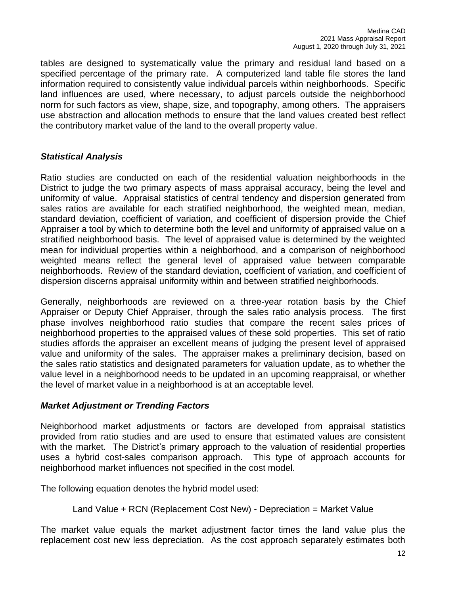tables are designed to systematically value the primary and residual land based on a specified percentage of the primary rate. A computerized land table file stores the land information required to consistently value individual parcels within neighborhoods. Specific land influences are used, where necessary, to adjust parcels outside the neighborhood norm for such factors as view, shape, size, and topography, among others. The appraisers use abstraction and allocation methods to ensure that the land values created best reflect the contributory market value of the land to the overall property value.

## *Statistical Analysis*

Ratio studies are conducted on each of the residential valuation neighborhoods in the District to judge the two primary aspects of mass appraisal accuracy, being the level and uniformity of value. Appraisal statistics of central tendency and dispersion generated from sales ratios are available for each stratified neighborhood, the weighted mean, median, standard deviation, coefficient of variation, and coefficient of dispersion provide the Chief Appraiser a tool by which to determine both the level and uniformity of appraised value on a stratified neighborhood basis. The level of appraised value is determined by the weighted mean for individual properties within a neighborhood, and a comparison of neighborhood weighted means reflect the general level of appraised value between comparable neighborhoods. Review of the standard deviation, coefficient of variation, and coefficient of dispersion discerns appraisal uniformity within and between stratified neighborhoods.

Generally, neighborhoods are reviewed on a three-year rotation basis by the Chief Appraiser or Deputy Chief Appraiser, through the sales ratio analysis process. The first phase involves neighborhood ratio studies that compare the recent sales prices of neighborhood properties to the appraised values of these sold properties. This set of ratio studies affords the appraiser an excellent means of judging the present level of appraised value and uniformity of the sales. The appraiser makes a preliminary decision, based on the sales ratio statistics and designated parameters for valuation update, as to whether the value level in a neighborhood needs to be updated in an upcoming reappraisal, or whether the level of market value in a neighborhood is at an acceptable level.

#### *Market Adjustment or Trending Factors*

Neighborhood market adjustments or factors are developed from appraisal statistics provided from ratio studies and are used to ensure that estimated values are consistent with the market. The District's primary approach to the valuation of residential properties uses a hybrid cost-sales comparison approach. This type of approach accounts for neighborhood market influences not specified in the cost model.

The following equation denotes the hybrid model used:

Land Value + RCN (Replacement Cost New) - Depreciation = Market Value

The market value equals the market adjustment factor times the land value plus the replacement cost new less depreciation. As the cost approach separately estimates both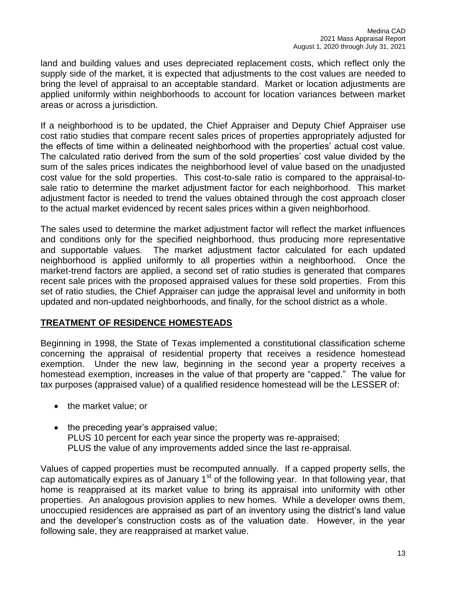land and building values and uses depreciated replacement costs, which reflect only the supply side of the market, it is expected that adjustments to the cost values are needed to bring the level of appraisal to an acceptable standard. Market or location adjustments are applied uniformly within neighborhoods to account for location variances between market areas or across a jurisdiction.

If a neighborhood is to be updated, the Chief Appraiser and Deputy Chief Appraiser use cost ratio studies that compare recent sales prices of properties appropriately adjusted for the effects of time within a delineated neighborhood with the properties' actual cost value. The calculated ratio derived from the sum of the sold properties' cost value divided by the sum of the sales prices indicates the neighborhood level of value based on the unadjusted cost value for the sold properties. This cost-to-sale ratio is compared to the appraisal-tosale ratio to determine the market adjustment factor for each neighborhood. This market adjustment factor is needed to trend the values obtained through the cost approach closer to the actual market evidenced by recent sales prices within a given neighborhood.

The sales used to determine the market adjustment factor will reflect the market influences and conditions only for the specified neighborhood, thus producing more representative and supportable values. The market adjustment factor calculated for each updated neighborhood is applied uniformly to all properties within a neighborhood. Once the market-trend factors are applied, a second set of ratio studies is generated that compares recent sale prices with the proposed appraised values for these sold properties. From this set of ratio studies, the Chief Appraiser can judge the appraisal level and uniformity in both updated and non-updated neighborhoods, and finally, for the school district as a whole.

#### **TREATMENT OF RESIDENCE HOMESTEADS**

Beginning in 1998, the State of Texas implemented a constitutional classification scheme concerning the appraisal of residential property that receives a residence homestead exemption. Under the new law, beginning in the second year a property receives a homestead exemption, increases in the value of that property are "capped." The value for tax purposes (appraised value) of a qualified residence homestead will be the LESSER of:

- the market value; or
- $\bullet$  the preceding year's appraised value; PLUS 10 percent for each year since the property was re-appraised; PLUS the value of any improvements added since the last re-appraisal.

Values of capped properties must be recomputed annually. If a capped property sells, the cap automatically expires as of January  $1<sup>st</sup>$  of the following year. In that following year, that home is reappraised at its market value to bring its appraisal into uniformity with other properties. An analogous provision applies to new homes. While a developer owns them, unoccupied residences are appraised as part of an inventory using the district's land value and the developer's construction costs as of the valuation date. However, in the year following sale, they are reappraised at market value.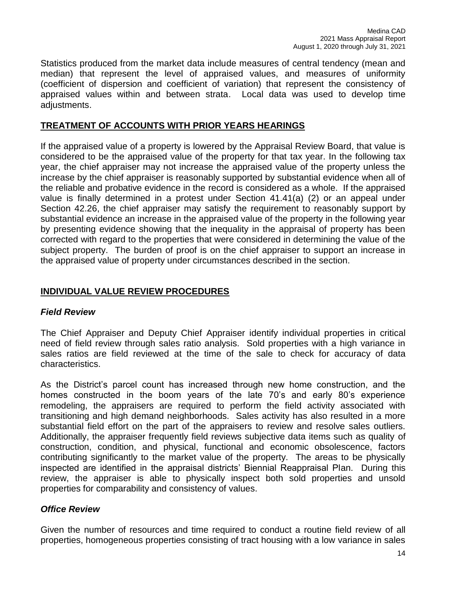Statistics produced from the market data include measures of central tendency (mean and median) that represent the level of appraised values, and measures of uniformity (coefficient of dispersion and coefficient of variation) that represent the consistency of appraised values within and between strata. Local data was used to develop time adjustments.

## **TREATMENT OF ACCOUNTS WITH PRIOR YEARS HEARINGS**

If the appraised value of a property is lowered by the Appraisal Review Board, that value is considered to be the appraised value of the property for that tax year. In the following tax year, the chief appraiser may not increase the appraised value of the property unless the increase by the chief appraiser is reasonably supported by substantial evidence when all of the reliable and probative evidence in the record is considered as a whole. If the appraised value is finally determined in a protest under Section 41.41(a) (2) or an appeal under Section 42.26, the chief appraiser may satisfy the requirement to reasonably support by substantial evidence an increase in the appraised value of the property in the following year by presenting evidence showing that the inequality in the appraisal of property has been corrected with regard to the properties that were considered in determining the value of the subject property. The burden of proof is on the chief appraiser to support an increase in the appraised value of property under circumstances described in the section.

## **INDIVIDUAL VALUE REVIEW PROCEDURES**

#### *Field Review*

The Chief Appraiser and Deputy Chief Appraiser identify individual properties in critical need of field review through sales ratio analysis. Sold properties with a high variance in sales ratios are field reviewed at the time of the sale to check for accuracy of data characteristics.

As the District's parcel count has increased through new home construction, and the homes constructed in the boom years of the late 70's and early 80's experience remodeling, the appraisers are required to perform the field activity associated with transitioning and high demand neighborhoods. Sales activity has also resulted in a more substantial field effort on the part of the appraisers to review and resolve sales outliers. Additionally, the appraiser frequently field reviews subjective data items such as quality of construction, condition, and physical, functional and economic obsolescence, factors contributing significantly to the market value of the property. The areas to be physically inspected are identified in the appraisal districts' Biennial Reappraisal Plan. During this review, the appraiser is able to physically inspect both sold properties and unsold properties for comparability and consistency of values.

#### *Office Review*

Given the number of resources and time required to conduct a routine field review of all properties, homogeneous properties consisting of tract housing with a low variance in sales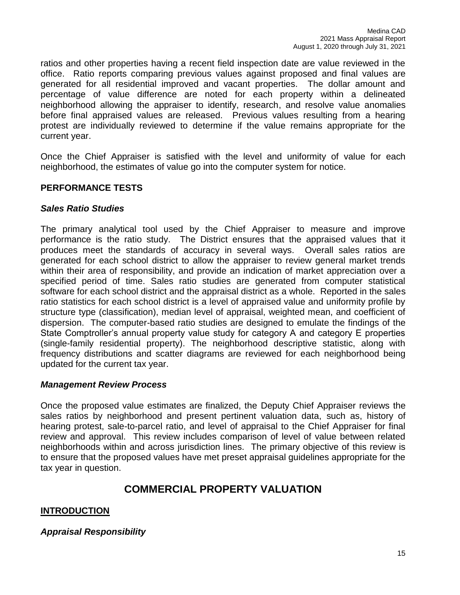ratios and other properties having a recent field inspection date are value reviewed in the office. Ratio reports comparing previous values against proposed and final values are generated for all residential improved and vacant properties. The dollar amount and percentage of value difference are noted for each property within a delineated neighborhood allowing the appraiser to identify, research, and resolve value anomalies before final appraised values are released. Previous values resulting from a hearing protest are individually reviewed to determine if the value remains appropriate for the current year.

Once the Chief Appraiser is satisfied with the level and uniformity of value for each neighborhood, the estimates of value go into the computer system for notice.

## **PERFORMANCE TESTS**

#### *Sales Ratio Studies*

The primary analytical tool used by the Chief Appraiser to measure and improve performance is the ratio study. The District ensures that the appraised values that it produces meet the standards of accuracy in several ways. Overall sales ratios are generated for each school district to allow the appraiser to review general market trends within their area of responsibility, and provide an indication of market appreciation over a specified period of time. Sales ratio studies are generated from computer statistical software for each school district and the appraisal district as a whole. Reported in the sales ratio statistics for each school district is a level of appraised value and uniformity profile by structure type (classification), median level of appraisal, weighted mean, and coefficient of dispersion. The computer-based ratio studies are designed to emulate the findings of the State Comptroller's annual property value study for category A and category E properties (single-family residential property). The neighborhood descriptive statistic, along with frequency distributions and scatter diagrams are reviewed for each neighborhood being updated for the current tax year.

#### *Management Review Process*

Once the proposed value estimates are finalized, the Deputy Chief Appraiser reviews the sales ratios by neighborhood and present pertinent valuation data, such as, history of hearing protest, sale-to-parcel ratio, and level of appraisal to the Chief Appraiser for final review and approval. This review includes comparison of level of value between related neighborhoods within and across jurisdiction lines. The primary objective of this review is to ensure that the proposed values have met preset appraisal guidelines appropriate for the tax year in question.

# **COMMERCIAL PROPERTY VALUATION**

#### **INTRODUCTION**

#### *Appraisal Responsibility*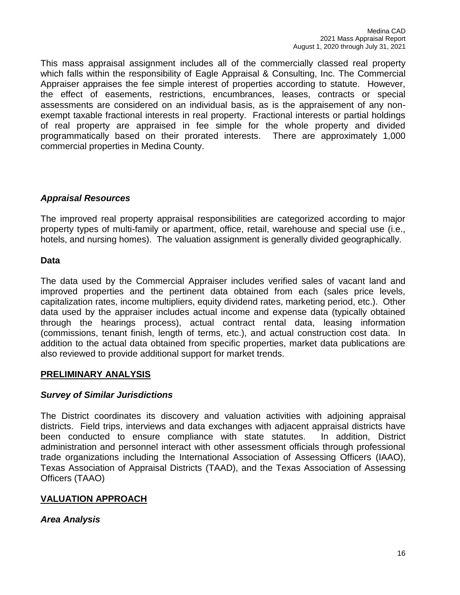This mass appraisal assignment includes all of the commercially classed real property which falls within the responsibility of Eagle Appraisal & Consulting, Inc. The Commercial Appraiser appraises the fee simple interest of properties according to statute. However, the effect of easements, restrictions, encumbrances, leases, contracts or special assessments are considered on an individual basis, as is the appraisement of any nonexempt taxable fractional interests in real property. Fractional interests or partial holdings of real property are appraised in fee simple for the whole property and divided programmatically based on their prorated interests. There are approximately 1,000 commercial properties in Medina County.

## *Appraisal Resources*

The improved real property appraisal responsibilities are categorized according to major property types of multi-family or apartment, office, retail, warehouse and special use (i.e., hotels, and nursing homes). The valuation assignment is generally divided geographically.

#### **Data**

The data used by the Commercial Appraiser includes verified sales of vacant land and improved properties and the pertinent data obtained from each (sales price levels, capitalization rates, income multipliers, equity dividend rates, marketing period, etc.). Other data used by the appraiser includes actual income and expense data (typically obtained through the hearings process), actual contract rental data, leasing information (commissions, tenant finish, length of terms, etc.), and actual construction cost data. In addition to the actual data obtained from specific properties, market data publications are also reviewed to provide additional support for market trends.

#### **PRELIMINARY ANALYSIS**

#### *Survey of Similar Jurisdictions*

The District coordinates its discovery and valuation activities with adjoining appraisal districts. Field trips, interviews and data exchanges with adjacent appraisal districts have been conducted to ensure compliance with state statutes. In addition, District administration and personnel interact with other assessment officials through professional trade organizations including the International Association of Assessing Officers (IAAO), Texas Association of Appraisal Districts (TAAD), and the Texas Association of Assessing Officers (TAAO)

# **VALUATION APPROACH**

*Area Analysis*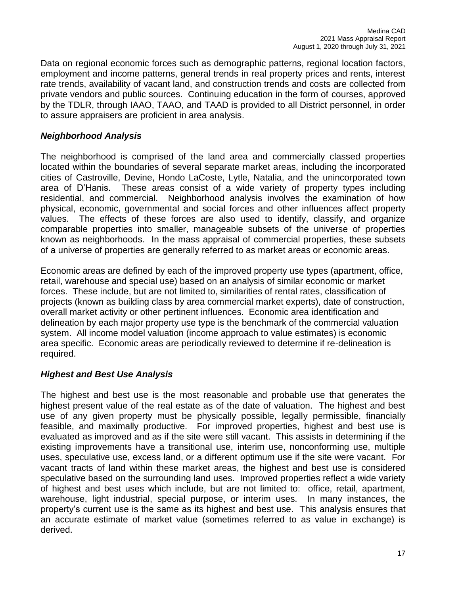Data on regional economic forces such as demographic patterns, regional location factors, employment and income patterns, general trends in real property prices and rents, interest rate trends, availability of vacant land, and construction trends and costs are collected from private vendors and public sources. Continuing education in the form of courses, approved by the TDLR, through IAAO, TAAO, and TAAD is provided to all District personnel, in order to assure appraisers are proficient in area analysis.

## *Neighborhood Analysis*

The neighborhood is comprised of the land area and commercially classed properties located within the boundaries of several separate market areas, including the incorporated cities of Castroville, Devine, Hondo LaCoste, Lytle, Natalia, and the unincorporated town area of D'Hanis. These areas consist of a wide variety of property types including residential, and commercial. Neighborhood analysis involves the examination of how physical, economic, governmental and social forces and other influences affect property values. The effects of these forces are also used to identify, classify, and organize comparable properties into smaller, manageable subsets of the universe of properties known as neighborhoods. In the mass appraisal of commercial properties, these subsets of a universe of properties are generally referred to as market areas or economic areas.

Economic areas are defined by each of the improved property use types (apartment, office, retail, warehouse and special use) based on an analysis of similar economic or market forces. These include, but are not limited to, similarities of rental rates, classification of projects (known as building class by area commercial market experts), date of construction, overall market activity or other pertinent influences. Economic area identification and delineation by each major property use type is the benchmark of the commercial valuation system. All income model valuation (income approach to value estimates) is economic area specific. Economic areas are periodically reviewed to determine if re-delineation is required.

#### *Highest and Best Use Analysis*

The highest and best use is the most reasonable and probable use that generates the highest present value of the real estate as of the date of valuation. The highest and best use of any given property must be physically possible, legally permissible, financially feasible, and maximally productive. For improved properties, highest and best use is evaluated as improved and as if the site were still vacant. This assists in determining if the existing improvements have a transitional use, interim use, nonconforming use, multiple uses, speculative use, excess land, or a different optimum use if the site were vacant. For vacant tracts of land within these market areas, the highest and best use is considered speculative based on the surrounding land uses. Improved properties reflect a wide variety of highest and best uses which include, but are not limited to: office, retail, apartment, warehouse, light industrial, special purpose, or interim uses. In many instances, the property's current use is the same as its highest and best use. This analysis ensures that an accurate estimate of market value (sometimes referred to as value in exchange) is derived.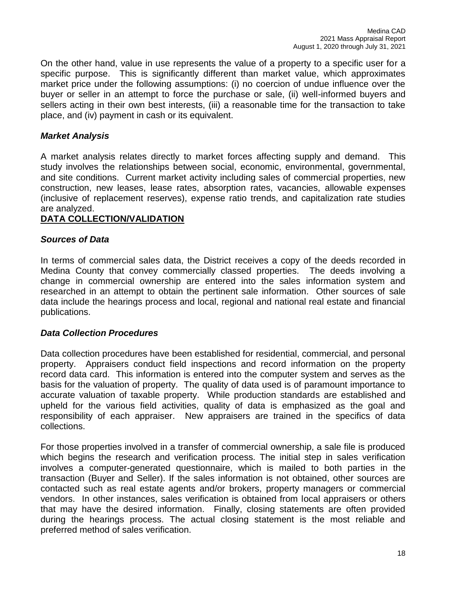On the other hand, value in use represents the value of a property to a specific user for a specific purpose. This is significantly different than market value, which approximates market price under the following assumptions: (i) no coercion of undue influence over the buyer or seller in an attempt to force the purchase or sale, (ii) well-informed buyers and sellers acting in their own best interests, (iii) a reasonable time for the transaction to take place, and (iv) payment in cash or its equivalent.

# *Market Analysis*

A market analysis relates directly to market forces affecting supply and demand. This study involves the relationships between social, economic, environmental, governmental, and site conditions. Current market activity including sales of commercial properties, new construction, new leases, lease rates, absorption rates, vacancies, allowable expenses (inclusive of replacement reserves), expense ratio trends, and capitalization rate studies are analyzed.

## **DATA COLLECTION/VALIDATION**

#### *Sources of Data*

In terms of commercial sales data, the District receives a copy of the deeds recorded in Medina County that convey commercially classed properties. The deeds involving a change in commercial ownership are entered into the sales information system and researched in an attempt to obtain the pertinent sale information. Other sources of sale data include the hearings process and local, regional and national real estate and financial publications.

#### *Data Collection Procedures*

Data collection procedures have been established for residential, commercial, and personal property. Appraisers conduct field inspections and record information on the property record data card. This information is entered into the computer system and serves as the basis for the valuation of property. The quality of data used is of paramount importance to accurate valuation of taxable property. While production standards are established and upheld for the various field activities, quality of data is emphasized as the goal and responsibility of each appraiser. New appraisers are trained in the specifics of data collections.

For those properties involved in a transfer of commercial ownership, a sale file is produced which begins the research and verification process. The initial step in sales verification involves a computer-generated questionnaire, which is mailed to both parties in the transaction (Buyer and Seller). If the sales information is not obtained, other sources are contacted such as real estate agents and/or brokers, property managers or commercial vendors. In other instances, sales verification is obtained from local appraisers or others that may have the desired information. Finally, closing statements are often provided during the hearings process. The actual closing statement is the most reliable and preferred method of sales verification.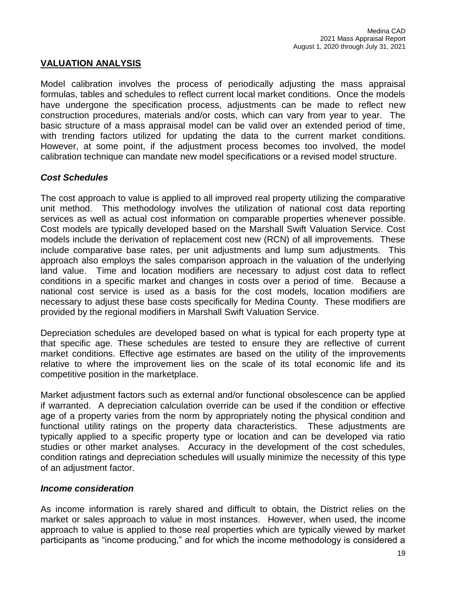## **VALUATION ANALYSIS**

Model calibration involves the process of periodically adjusting the mass appraisal formulas, tables and schedules to reflect current local market conditions. Once the models have undergone the specification process, adjustments can be made to reflect new construction procedures, materials and/or costs, which can vary from year to year. The basic structure of a mass appraisal model can be valid over an extended period of time, with trending factors utilized for updating the data to the current market conditions. However, at some point, if the adjustment process becomes too involved, the model calibration technique can mandate new model specifications or a revised model structure.

#### *Cost Schedules*

The cost approach to value is applied to all improved real property utilizing the comparative unit method. This methodology involves the utilization of national cost data reporting services as well as actual cost information on comparable properties whenever possible. Cost models are typically developed based on the Marshall Swift Valuation Service. Cost models include the derivation of replacement cost new (RCN) of all improvements. These include comparative base rates, per unit adjustments and lump sum adjustments. This approach also employs the sales comparison approach in the valuation of the underlying land value. Time and location modifiers are necessary to adjust cost data to reflect conditions in a specific market and changes in costs over a period of time. Because a national cost service is used as a basis for the cost models, location modifiers are necessary to adjust these base costs specifically for Medina County. These modifiers are provided by the regional modifiers in Marshall Swift Valuation Service.

Depreciation schedules are developed based on what is typical for each property type at that specific age. These schedules are tested to ensure they are reflective of current market conditions. Effective age estimates are based on the utility of the improvements relative to where the improvement lies on the scale of its total economic life and its competitive position in the marketplace.

Market adjustment factors such as external and/or functional obsolescence can be applied if warranted. A depreciation calculation override can be used if the condition or effective age of a property varies from the norm by appropriately noting the physical condition and functional utility ratings on the property data characteristics. These adjustments are typically applied to a specific property type or location and can be developed via ratio studies or other market analyses. Accuracy in the development of the cost schedules, condition ratings and depreciation schedules will usually minimize the necessity of this type of an adjustment factor.

#### *Income consideration*

As income information is rarely shared and difficult to obtain, the District relies on the market or sales approach to value in most instances. However, when used, the income approach to value is applied to those real properties which are typically viewed by market participants as "income producing," and for which the income methodology is considered a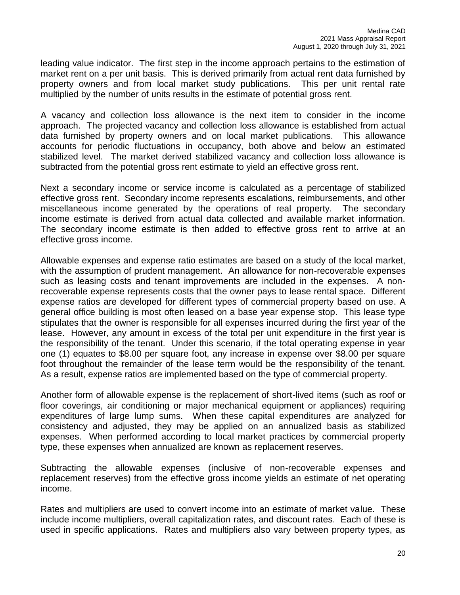leading value indicator. The first step in the income approach pertains to the estimation of market rent on a per unit basis. This is derived primarily from actual rent data furnished by property owners and from local market study publications. This per unit rental rate multiplied by the number of units results in the estimate of potential gross rent.

A vacancy and collection loss allowance is the next item to consider in the income approach. The projected vacancy and collection loss allowance is established from actual data furnished by property owners and on local market publications. This allowance accounts for periodic fluctuations in occupancy, both above and below an estimated stabilized level. The market derived stabilized vacancy and collection loss allowance is subtracted from the potential gross rent estimate to yield an effective gross rent.

Next a secondary income or service income is calculated as a percentage of stabilized effective gross rent. Secondary income represents escalations, reimbursements, and other miscellaneous income generated by the operations of real property. The secondary income estimate is derived from actual data collected and available market information. The secondary income estimate is then added to effective gross rent to arrive at an effective gross income.

Allowable expenses and expense ratio estimates are based on a study of the local market, with the assumption of prudent management. An allowance for non-recoverable expenses such as leasing costs and tenant improvements are included in the expenses. A nonrecoverable expense represents costs that the owner pays to lease rental space. Different expense ratios are developed for different types of commercial property based on use. A general office building is most often leased on a base year expense stop. This lease type stipulates that the owner is responsible for all expenses incurred during the first year of the lease. However, any amount in excess of the total per unit expenditure in the first year is the responsibility of the tenant. Under this scenario, if the total operating expense in year one (1) equates to \$8.00 per square foot, any increase in expense over \$8.00 per square foot throughout the remainder of the lease term would be the responsibility of the tenant. As a result, expense ratios are implemented based on the type of commercial property.

Another form of allowable expense is the replacement of short-lived items (such as roof or floor coverings, air conditioning or major mechanical equipment or appliances) requiring expenditures of large lump sums. When these capital expenditures are analyzed for consistency and adjusted, they may be applied on an annualized basis as stabilized expenses. When performed according to local market practices by commercial property type, these expenses when annualized are known as replacement reserves.

Subtracting the allowable expenses (inclusive of non-recoverable expenses and replacement reserves) from the effective gross income yields an estimate of net operating income.

Rates and multipliers are used to convert income into an estimate of market value. These include income multipliers, overall capitalization rates, and discount rates. Each of these is used in specific applications. Rates and multipliers also vary between property types, as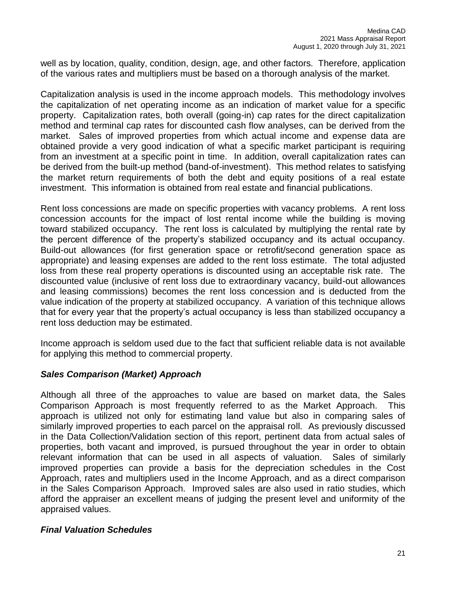well as by location, quality, condition, design, age, and other factors. Therefore, application of the various rates and multipliers must be based on a thorough analysis of the market.

Capitalization analysis is used in the income approach models. This methodology involves the capitalization of net operating income as an indication of market value for a specific property. Capitalization rates, both overall (going-in) cap rates for the direct capitalization method and terminal cap rates for discounted cash flow analyses, can be derived from the market. Sales of improved properties from which actual income and expense data are obtained provide a very good indication of what a specific market participant is requiring from an investment at a specific point in time. In addition, overall capitalization rates can be derived from the built-up method (band-of-investment). This method relates to satisfying the market return requirements of both the debt and equity positions of a real estate investment. This information is obtained from real estate and financial publications.

Rent loss concessions are made on specific properties with vacancy problems. A rent loss concession accounts for the impact of lost rental income while the building is moving toward stabilized occupancy. The rent loss is calculated by multiplying the rental rate by the percent difference of the property's stabilized occupancy and its actual occupancy. Build-out allowances (for first generation space or retrofit/second generation space as appropriate) and leasing expenses are added to the rent loss estimate. The total adjusted loss from these real property operations is discounted using an acceptable risk rate. The discounted value (inclusive of rent loss due to extraordinary vacancy, build-out allowances and leasing commissions) becomes the rent loss concession and is deducted from the value indication of the property at stabilized occupancy. A variation of this technique allows that for every year that the property's actual occupancy is less than stabilized occupancy a rent loss deduction may be estimated.

Income approach is seldom used due to the fact that sufficient reliable data is not available for applying this method to commercial property.

#### *Sales Comparison (Market) Approach*

Although all three of the approaches to value are based on market data, the Sales Comparison Approach is most frequently referred to as the Market Approach. This approach is utilized not only for estimating land value but also in comparing sales of similarly improved properties to each parcel on the appraisal roll. As previously discussed in the Data Collection/Validation section of this report, pertinent data from actual sales of properties, both vacant and improved, is pursued throughout the year in order to obtain relevant information that can be used in all aspects of valuation. Sales of similarly improved properties can provide a basis for the depreciation schedules in the Cost Approach, rates and multipliers used in the Income Approach, and as a direct comparison in the Sales Comparison Approach. Improved sales are also used in ratio studies, which afford the appraiser an excellent means of judging the present level and uniformity of the appraised values.

#### *Final Valuation Schedules*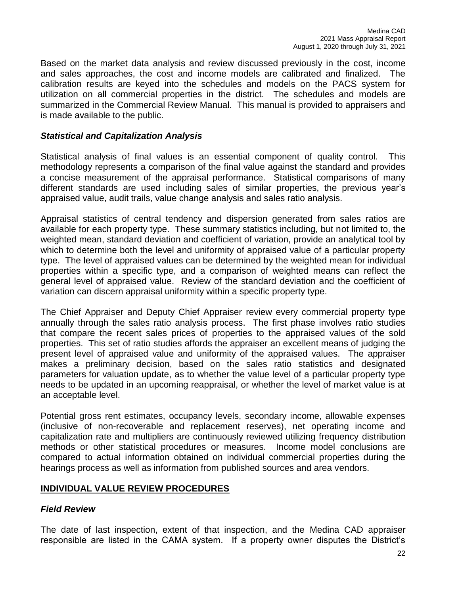Based on the market data analysis and review discussed previously in the cost, income and sales approaches, the cost and income models are calibrated and finalized. The calibration results are keyed into the schedules and models on the PACS system for utilization on all commercial properties in the district. The schedules and models are summarized in the Commercial Review Manual. This manual is provided to appraisers and is made available to the public.

#### *Statistical and Capitalization Analysis*

Statistical analysis of final values is an essential component of quality control. This methodology represents a comparison of the final value against the standard and provides a concise measurement of the appraisal performance. Statistical comparisons of many different standards are used including sales of similar properties, the previous year's appraised value, audit trails, value change analysis and sales ratio analysis.

Appraisal statistics of central tendency and dispersion generated from sales ratios are available for each property type. These summary statistics including, but not limited to, the weighted mean, standard deviation and coefficient of variation, provide an analytical tool by which to determine both the level and uniformity of appraised value of a particular property type. The level of appraised values can be determined by the weighted mean for individual properties within a specific type, and a comparison of weighted means can reflect the general level of appraised value. Review of the standard deviation and the coefficient of variation can discern appraisal uniformity within a specific property type.

The Chief Appraiser and Deputy Chief Appraiser review every commercial property type annually through the sales ratio analysis process. The first phase involves ratio studies that compare the recent sales prices of properties to the appraised values of the sold properties. This set of ratio studies affords the appraiser an excellent means of judging the present level of appraised value and uniformity of the appraised values. The appraiser makes a preliminary decision, based on the sales ratio statistics and designated parameters for valuation update, as to whether the value level of a particular property type needs to be updated in an upcoming reappraisal, or whether the level of market value is at an acceptable level.

Potential gross rent estimates, occupancy levels, secondary income, allowable expenses (inclusive of non-recoverable and replacement reserves), net operating income and capitalization rate and multipliers are continuously reviewed utilizing frequency distribution methods or other statistical procedures or measures. Income model conclusions are compared to actual information obtained on individual commercial properties during the hearings process as well as information from published sources and area vendors.

#### **INDIVIDUAL VALUE REVIEW PROCEDURES**

#### *Field Review*

The date of last inspection, extent of that inspection, and the Medina CAD appraiser responsible are listed in the CAMA system. If a property owner disputes the District's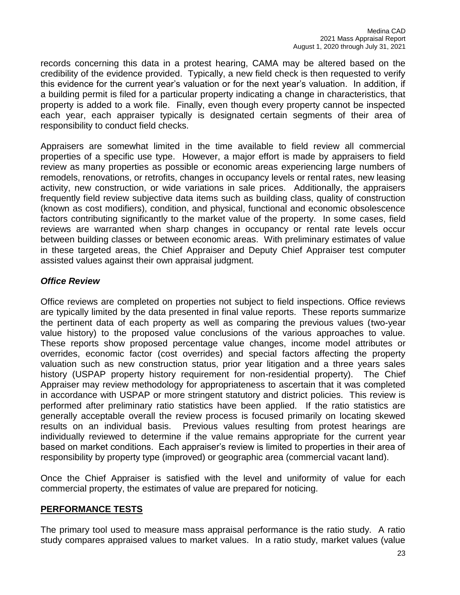records concerning this data in a protest hearing, CAMA may be altered based on the credibility of the evidence provided. Typically, a new field check is then requested to verify this evidence for the current year's valuation or for the next year's valuation. In addition, if a building permit is filed for a particular property indicating a change in characteristics, that property is added to a work file. Finally, even though every property cannot be inspected each year, each appraiser typically is designated certain segments of their area of responsibility to conduct field checks.

Appraisers are somewhat limited in the time available to field review all commercial properties of a specific use type. However, a major effort is made by appraisers to field review as many properties as possible or economic areas experiencing large numbers of remodels, renovations, or retrofits, changes in occupancy levels or rental rates, new leasing activity, new construction, or wide variations in sale prices. Additionally, the appraisers frequently field review subjective data items such as building class, quality of construction (known as cost modifiers), condition, and physical, functional and economic obsolescence factors contributing significantly to the market value of the property. In some cases, field reviews are warranted when sharp changes in occupancy or rental rate levels occur between building classes or between economic areas. With preliminary estimates of value in these targeted areas, the Chief Appraiser and Deputy Chief Appraiser test computer assisted values against their own appraisal judgment.

# *Office Review*

Office reviews are completed on properties not subject to field inspections. Office reviews are typically limited by the data presented in final value reports. These reports summarize the pertinent data of each property as well as comparing the previous values (two-year value history) to the proposed value conclusions of the various approaches to value. These reports show proposed percentage value changes, income model attributes or overrides, economic factor (cost overrides) and special factors affecting the property valuation such as new construction status, prior year litigation and a three years sales history (USPAP property history requirement for non-residential property). The Chief Appraiser may review methodology for appropriateness to ascertain that it was completed in accordance with USPAP or more stringent statutory and district policies. This review is performed after preliminary ratio statistics have been applied. If the ratio statistics are generally acceptable overall the review process is focused primarily on locating skewed results on an individual basis. Previous values resulting from protest hearings are individually reviewed to determine if the value remains appropriate for the current year based on market conditions. Each appraiser's review is limited to properties in their area of responsibility by property type (improved) or geographic area (commercial vacant land).

Once the Chief Appraiser is satisfied with the level and uniformity of value for each commercial property, the estimates of value are prepared for noticing.

#### **PERFORMANCE TESTS**

The primary tool used to measure mass appraisal performance is the ratio study. A ratio study compares appraised values to market values. In a ratio study, market values (value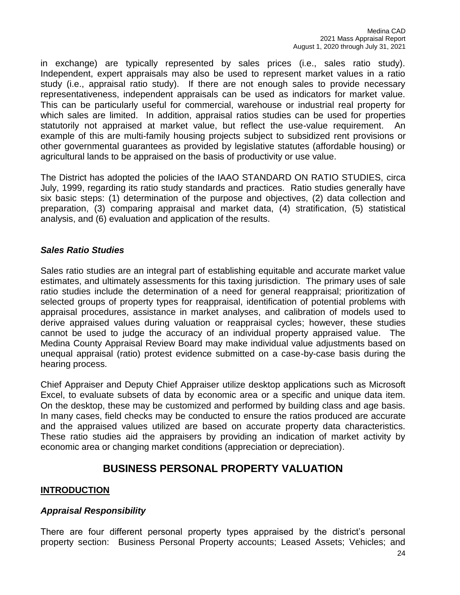in exchange) are typically represented by sales prices (i.e., sales ratio study). Independent, expert appraisals may also be used to represent market values in a ratio study (i.e., appraisal ratio study). If there are not enough sales to provide necessary representativeness, independent appraisals can be used as indicators for market value. This can be particularly useful for commercial, warehouse or industrial real property for which sales are limited. In addition, appraisal ratios studies can be used for properties statutorily not appraised at market value, but reflect the use-value requirement. An example of this are multi-family housing projects subject to subsidized rent provisions or other governmental guarantees as provided by legislative statutes (affordable housing) or agricultural lands to be appraised on the basis of productivity or use value.

The District has adopted the policies of the IAAO STANDARD ON RATIO STUDIES, circa July, 1999, regarding its ratio study standards and practices. Ratio studies generally have six basic steps: (1) determination of the purpose and objectives, (2) data collection and preparation, (3) comparing appraisal and market data, (4) stratification, (5) statistical analysis, and (6) evaluation and application of the results.

## *Sales Ratio Studies*

Sales ratio studies are an integral part of establishing equitable and accurate market value estimates, and ultimately assessments for this taxing jurisdiction. The primary uses of sale ratio studies include the determination of a need for general reappraisal; prioritization of selected groups of property types for reappraisal, identification of potential problems with appraisal procedures, assistance in market analyses, and calibration of models used to derive appraised values during valuation or reappraisal cycles; however, these studies cannot be used to judge the accuracy of an individual property appraised value. The Medina County Appraisal Review Board may make individual value adjustments based on unequal appraisal (ratio) protest evidence submitted on a case-by-case basis during the hearing process.

Chief Appraiser and Deputy Chief Appraiser utilize desktop applications such as Microsoft Excel, to evaluate subsets of data by economic area or a specific and unique data item. On the desktop, these may be customized and performed by building class and age basis. In many cases, field checks may be conducted to ensure the ratios produced are accurate and the appraised values utilized are based on accurate property data characteristics. These ratio studies aid the appraisers by providing an indication of market activity by economic area or changing market conditions (appreciation or depreciation).

# **BUSINESS PERSONAL PROPERTY VALUATION**

# **INTRODUCTION**

#### *Appraisal Responsibility*

There are four different personal property types appraised by the district's personal property section: Business Personal Property accounts; Leased Assets; Vehicles; and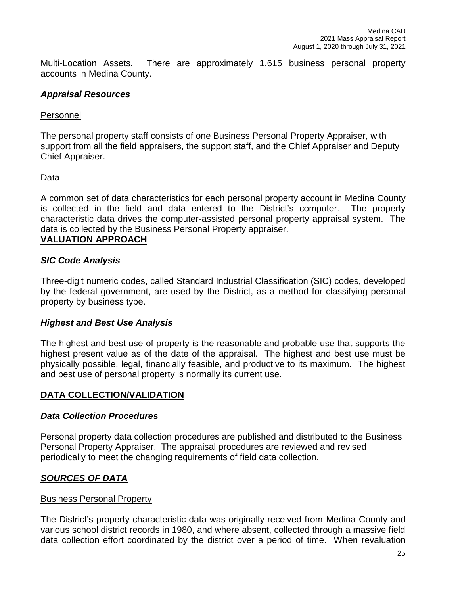Multi-Location Assets. There are approximately 1,615 business personal property accounts in Medina County.

#### *Appraisal Resources*

#### Personnel

The personal property staff consists of one Business Personal Property Appraiser, with support from all the field appraisers, the support staff, and the Chief Appraiser and Deputy Chief Appraiser.

#### Data

A common set of data characteristics for each personal property account in Medina County is collected in the field and data entered to the District's computer. The property characteristic data drives the computer-assisted personal property appraisal system. The data is collected by the Business Personal Property appraiser.

#### **VALUATION APPROACH**

#### *SIC Code Analysis*

Three-digit numeric codes, called Standard Industrial Classification (SIC) codes, developed by the federal government, are used by the District, as a method for classifying personal property by business type.

#### *Highest and Best Use Analysis*

The highest and best use of property is the reasonable and probable use that supports the highest present value as of the date of the appraisal. The highest and best use must be physically possible, legal, financially feasible, and productive to its maximum. The highest and best use of personal property is normally its current use.

#### **DATA COLLECTION/VALIDATION**

#### *Data Collection Procedures*

Personal property data collection procedures are published and distributed to the Business Personal Property Appraiser. The appraisal procedures are reviewed and revised periodically to meet the changing requirements of field data collection.

#### *SOURCES OF DATA*

#### Business Personal Property

The District's property characteristic data was originally received from Medina County and various school district records in 1980, and where absent, collected through a massive field data collection effort coordinated by the district over a period of time. When revaluation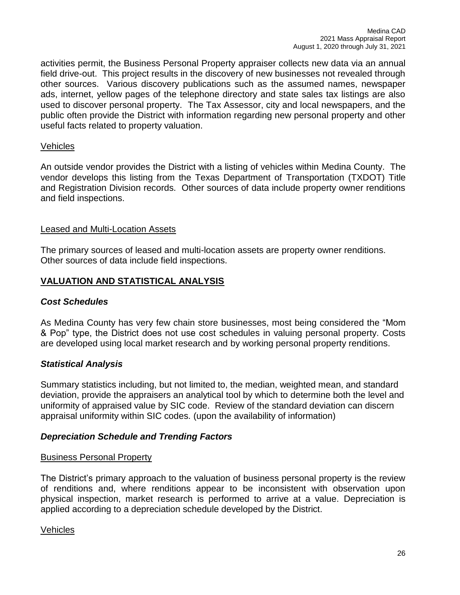activities permit, the Business Personal Property appraiser collects new data via an annual field drive-out. This project results in the discovery of new businesses not revealed through other sources. Various discovery publications such as the assumed names, newspaper ads, internet, yellow pages of the telephone directory and state sales tax listings are also used to discover personal property. The Tax Assessor, city and local newspapers, and the public often provide the District with information regarding new personal property and other useful facts related to property valuation.

#### Vehicles

An outside vendor provides the District with a listing of vehicles within Medina County. The vendor develops this listing from the Texas Department of Transportation (TXDOT) Title and Registration Division records. Other sources of data include property owner renditions and field inspections.

## Leased and Multi-Location Assets

The primary sources of leased and multi-location assets are property owner renditions. Other sources of data include field inspections.

# **VALUATION AND STATISTICAL ANALYSIS**

# *Cost Schedules*

As Medina County has very few chain store businesses, most being considered the "Mom & Pop" type, the District does not use cost schedules in valuing personal property. Costs are developed using local market research and by working personal property renditions.

# *Statistical Analysis*

Summary statistics including, but not limited to, the median, weighted mean, and standard deviation, provide the appraisers an analytical tool by which to determine both the level and uniformity of appraised value by SIC code. Review of the standard deviation can discern appraisal uniformity within SIC codes. (upon the availability of information)

# *Depreciation Schedule and Trending Factors*

#### Business Personal Property

The District's primary approach to the valuation of business personal property is the review of renditions and, where renditions appear to be inconsistent with observation upon physical inspection, market research is performed to arrive at a value. Depreciation is applied according to a depreciation schedule developed by the District.

#### Vehicles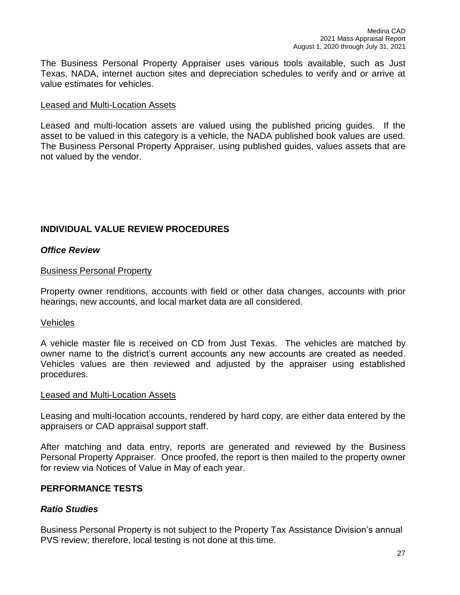The Business Personal Property Appraiser uses various tools available, such as Just Texas, NADA, internet auction sites and depreciation schedules to verify and or arrive at value estimates for vehicles.

#### Leased and Multi-Location Assets

Leased and multi-location assets are valued using the published pricing guides. If the asset to be valued in this category is a vehicle, the NADA published book values are used. The Business Personal Property Appraiser, using published guides, values assets that are not valued by the vendor.

## **INDIVIDUAL VALUE REVIEW PROCEDURES**

#### *Office Review*

#### Business Personal Property

Property owner renditions, accounts with field or other data changes, accounts with prior hearings, new accounts, and local market data are all considered.

#### **Vehicles**

A vehicle master file is received on CD from Just Texas. The vehicles are matched by owner name to the district's current accounts any new accounts are created as needed. Vehicles values are then reviewed and adjusted by the appraiser using established procedures.

#### Leased and Multi-Location Assets

Leasing and multi-location accounts, rendered by hard copy, are either data entered by the appraisers or CAD appraisal support staff.

After matching and data entry, reports are generated and reviewed by the Business Personal Property Appraiser. Once proofed, the report is then mailed to the property owner for review via Notices of Value in May of each year.

#### **PERFORMANCE TESTS**

#### *Ratio Studies*

Business Personal Property is not subject to the Property Tax Assistance Division's annual PVS review; therefore, local testing is not done at this time.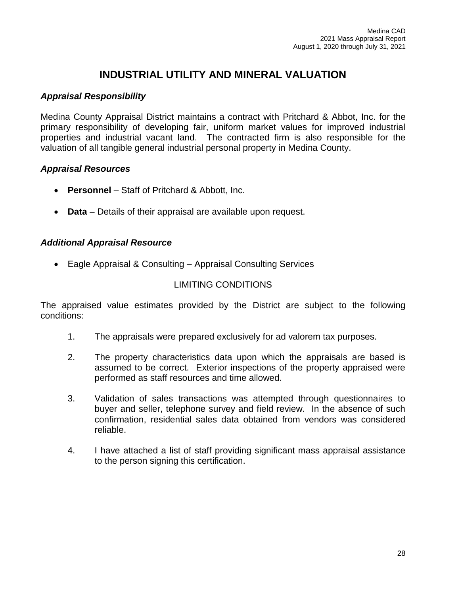# **INDUSTRIAL UTILITY AND MINERAL VALUATION**

## *Appraisal Responsibility*

Medina County Appraisal District maintains a contract with Pritchard & Abbot, Inc. for the primary responsibility of developing fair, uniform market values for improved industrial properties and industrial vacant land. The contracted firm is also responsible for the valuation of all tangible general industrial personal property in Medina County.

#### *Appraisal Resources*

- **Personnel** Staff of Pritchard & Abbott, Inc.
- **Data** Details of their appraisal are available upon request.

#### *Additional Appraisal Resource*

Eagle Appraisal & Consulting – Appraisal Consulting Services

#### LIMITING CONDITIONS

The appraised value estimates provided by the District are subject to the following conditions:

- 1. The appraisals were prepared exclusively for ad valorem tax purposes.
- 2. The property characteristics data upon which the appraisals are based is assumed to be correct. Exterior inspections of the property appraised were performed as staff resources and time allowed.
- 3. Validation of sales transactions was attempted through questionnaires to buyer and seller, telephone survey and field review. In the absence of such confirmation, residential sales data obtained from vendors was considered reliable.
- 4. I have attached a list of staff providing significant mass appraisal assistance to the person signing this certification.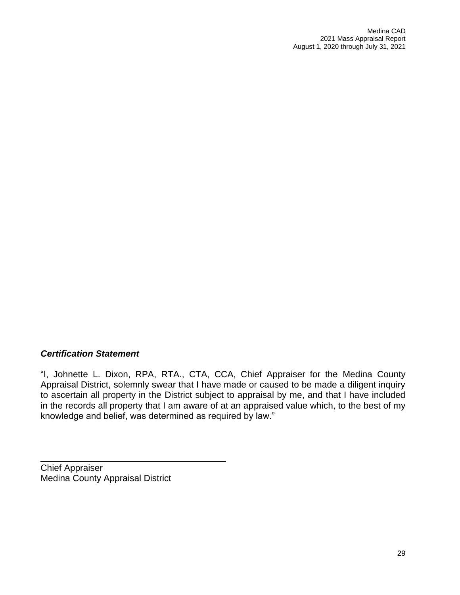# *Certification Statement*

"I, Johnette L. Dixon, RPA, RTA., CTA, CCA, Chief Appraiser for the Medina County Appraisal District, solemnly swear that I have made or caused to be made a diligent inquiry to ascertain all property in the District subject to appraisal by me, and that I have included in the records all property that I am aware of at an appraised value which, to the best of my knowledge and belief, was determined as required by law."

Chief Appraiser Medina County Appraisal District

\_\_\_\_\_\_\_\_\_\_\_\_\_\_\_\_\_\_\_\_\_\_\_\_\_\_\_\_\_\_\_\_\_\_\_\_\_